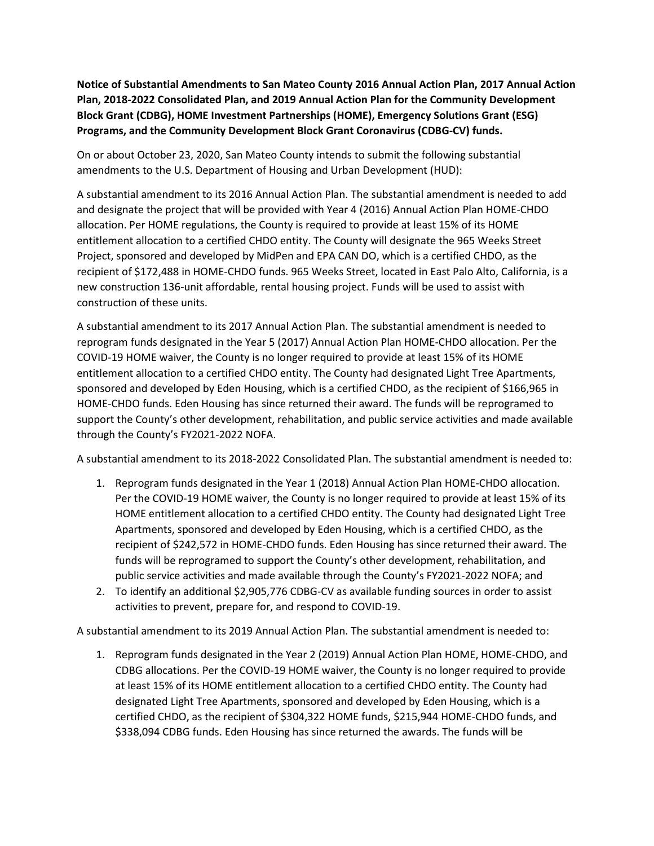Notice of Substantial Amendments to San Mateo County 2016 Annual Action Plan, 2017 Annual Action Plan, 2018-2022 Consolidated Plan, and 2019 Annual Action Plan for the Community Development Block Grant (CDBG), HOME Investment Partnerships (HOME), Emergency Solutions Grant (ESG) Programs, and the Community Development Block Grant Coronavirus (CDBG-CV) funds.

On or about October 23, 2020, San Mateo County intends to submit the following substantial amendments to the U.S. Department of Housing and Urban Development (HUD):

A substantial amendment to its 2016 Annual Action Plan. The substantial amendment is needed to add and designate the project that will be provided with Year 4 (2016) Annual Action Plan HOME-CHDO allocation. Per HOME regulations, the County is required to provide at least 15% of its HOME entitlement allocation to a certified CHDO entity. The County will designate the 965 Weeks Street Project, sponsored and developed by MidPen and EPA CAN DO, which is a certified CHDO, as the recipient of \$172,488 in HOME-CHDO funds. 965 Weeks Street, located in East Palo Alto, California, is a new construction 136-unit affordable, rental housing project. Funds will be used to assist with construction of these units.

A substantial amendment to its 2017 Annual Action Plan. The substantial amendment is needed to reprogram funds designated in the Year 5 (2017) Annual Action Plan HOME-CHDO allocation. Per the COVID-19 HOME waiver, the County is no longer required to provide at least 15% of its HOME entitlement allocation to a certified CHDO entity. The County had designated Light Tree Apartments, sponsored and developed by Eden Housing, which is a certified CHDO, as the recipient of \$166,965 in HOME-CHDO funds. Eden Housing has since returned their award. The funds will be reprogramed to support the County's other development, rehabilitation, and public service activities and made available through the County's FY2021-2022 NOFA.

A substantial amendment to its 2018-2022 Consolidated Plan. The substantial amendment is needed to:

- 1. Reprogram funds designated in the Year 1 (2018) Annual Action Plan HOME-CHDO allocation. Per the COVID-19 HOME waiver, the County is no longer required to provide at least 15% of its HOME entitlement allocation to a certified CHDO entity. The County had designated Light Tree Apartments, sponsored and developed by Eden Housing, which is a certified CHDO, as the recipient of \$242,572 in HOME-CHDO funds. Eden Housing has since returned their award. The funds will be reprogramed to support the County's other development, rehabilitation, and public service activities and made available through the County's FY2021-2022 NOFA; and
- 2. To identify an additional \$2,905,776 CDBG-CV as available funding sources in order to assist activities to prevent, prepare for, and respond to COVID-19.

A substantial amendment to its 2019 Annual Action Plan. The substantial amendment is needed to:

1. Reprogram funds designated in the Year 2 (2019) Annual Action Plan HOME, HOME-CHDO, and CDBG allocations. Per the COVID-19 HOME waiver, the County is no longer required to provide at least 15% of its HOME entitlement allocation to a certified CHDO entity. The County had designated Light Tree Apartments, sponsored and developed by Eden Housing, which is a certified CHDO, as the recipient of \$304,322 HOME funds, \$215,944 HOME-CHDO funds, and \$338,094 CDBG funds. Eden Housing has since returned the awards. The funds will be